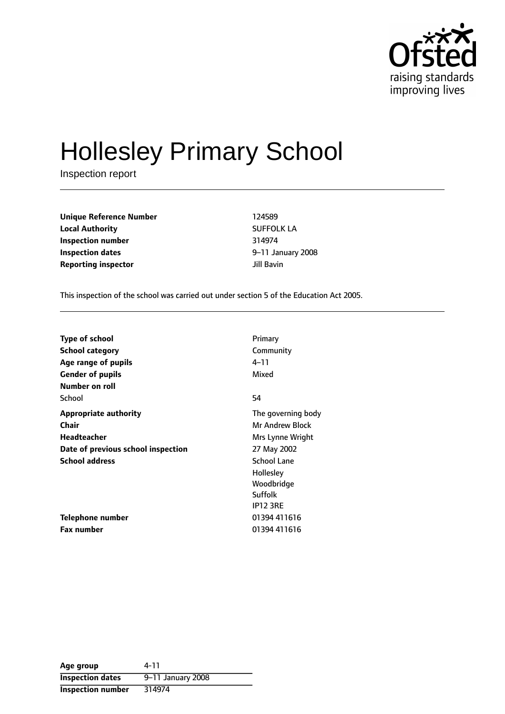

# Hollesley Primary School

Inspection report

**Unique Reference Number** 124589 **Local Authority** SUFFOLK LA **Inspection number** 314974 **Inspection dates 1.13 Inspection dates 9-11 January 2008 Reporting inspector and a structure of the United Structure of the United Structure of the United Structure of the United Structure of the United Structure of the United Structure of the United Structure of the United S** 

This inspection of the school was carried out under section 5 of the Education Act 2005.

| <b>Type of school</b>              | Primary                |
|------------------------------------|------------------------|
| <b>School category</b>             | Community              |
| Age range of pupils                | $4 - 11$               |
| <b>Gender of pupils</b>            | Mixed                  |
| Number on roll                     |                        |
| School                             | 54                     |
| <b>Appropriate authority</b>       | The governing body     |
| <b>Chair</b>                       | <b>Mr Andrew Block</b> |
| <b>Headteacher</b>                 | Mrs Lynne Wright       |
| Date of previous school inspection | 27 May 2002            |
| <b>School address</b>              | <b>School Lane</b>     |
|                                    | Hollesley              |
|                                    | Woodbridge             |
|                                    | Suffolk                |
|                                    | <b>IP12 3RE</b>        |
| Telephone number                   | 01394 411616           |
| Fax number                         | 01394 411616           |

| Age group                | 4-11              |
|--------------------------|-------------------|
| <b>Inspection dates</b>  | 9-11 January 2008 |
| <b>Inspection number</b> | 314974            |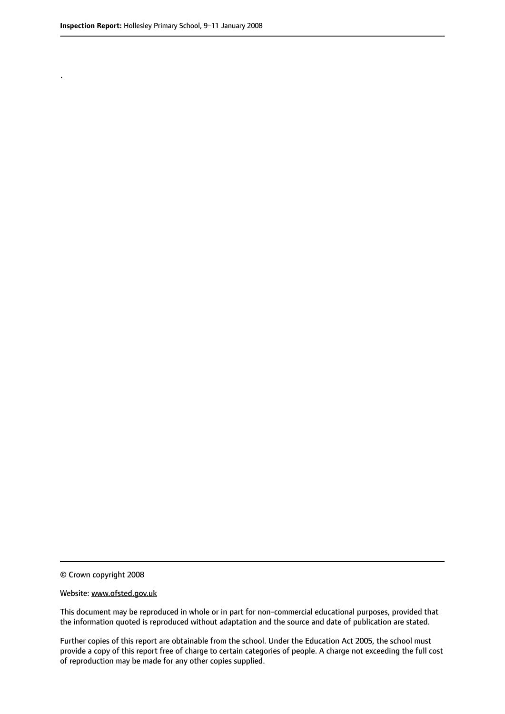.

© Crown copyright 2008

#### Website: www.ofsted.gov.uk

This document may be reproduced in whole or in part for non-commercial educational purposes, provided that the information quoted is reproduced without adaptation and the source and date of publication are stated.

Further copies of this report are obtainable from the school. Under the Education Act 2005, the school must provide a copy of this report free of charge to certain categories of people. A charge not exceeding the full cost of reproduction may be made for any other copies supplied.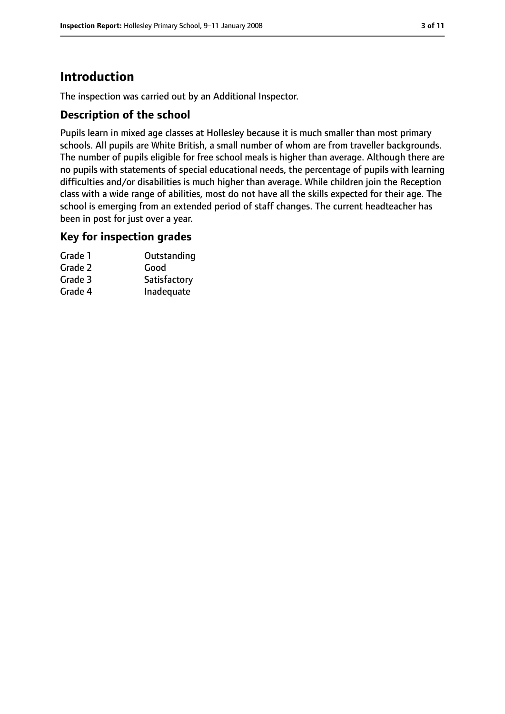### **Introduction**

The inspection was carried out by an Additional Inspector.

### **Description of the school**

Pupils learn in mixed age classes at Hollesley because it is much smaller than most primary schools. All pupils are White British, a small number of whom are from traveller backgrounds. The number of pupils eligible for free school meals is higher than average. Although there are no pupils with statements of special educational needs, the percentage of pupils with learning difficulties and/or disabilities is much higher than average. While children join the Reception class with a wide range of abilities, most do not have all the skills expected for their age. The school is emerging from an extended period of staff changes. The current headteacher has been in post for just over a year.

#### **Key for inspection grades**

| Grade 1 | Outstanding  |
|---------|--------------|
| Grade 2 | Good         |
| Grade 3 | Satisfactory |
| Grade 4 | Inadequate   |
|         |              |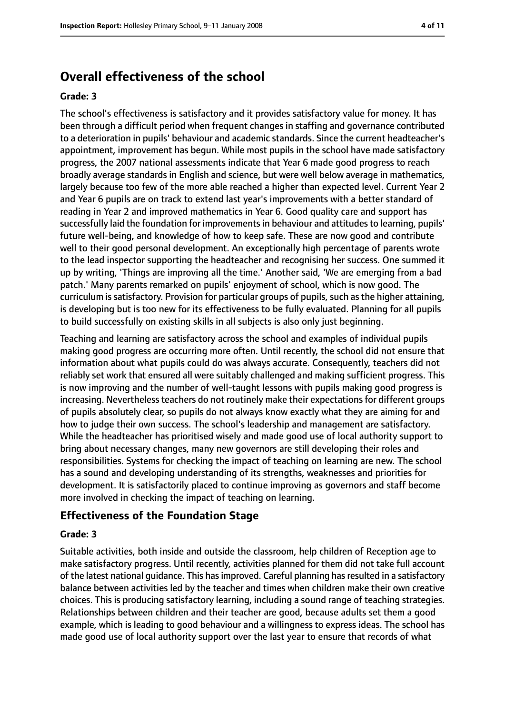### **Overall effectiveness of the school**

#### **Grade: 3**

The school's effectiveness is satisfactory and it provides satisfactory value for money. It has been through a difficult period when frequent changes in staffing and governance contributed to a deterioration in pupils' behaviour and academic standards. Since the current headteacher's appointment, improvement has begun. While most pupils in the school have made satisfactory progress, the 2007 national assessments indicate that Year 6 made good progress to reach broadly average standards in English and science, but were well below average in mathematics, largely because too few of the more able reached a higher than expected level. Current Year 2 and Year 6 pupils are on track to extend last year's improvements with a better standard of reading in Year 2 and improved mathematics in Year 6. Good quality care and support has successfully laid the foundation for improvements in behaviour and attitudes to learning, pupils' future well-being, and knowledge of how to keep safe. These are now good and contribute well to their good personal development. An exceptionally high percentage of parents wrote to the lead inspector supporting the headteacher and recognising her success. One summed it up by writing, 'Things are improving all the time.' Another said, 'We are emerging from a bad patch.' Many parents remarked on pupils' enjoyment of school, which is now good. The curriculum is satisfactory. Provision for particular groups of pupils, such as the higher attaining, is developing but is too new for its effectiveness to be fully evaluated. Planning for all pupils to build successfully on existing skills in all subjects is also only just beginning.

Teaching and learning are satisfactory across the school and examples of individual pupils making good progress are occurring more often. Until recently, the school did not ensure that information about what pupils could do was always accurate. Consequently, teachers did not reliably set work that ensured all were suitably challenged and making sufficient progress. This is now improving and the number of well-taught lessons with pupils making good progress is increasing. Nevertheless teachers do not routinely make their expectations for different groups of pupils absolutely clear, so pupils do not always know exactly what they are aiming for and how to judge their own success. The school's leadership and management are satisfactory. While the headteacher has prioritised wisely and made good use of local authority support to bring about necessary changes, many new governors are still developing their roles and responsibilities. Systems for checking the impact of teaching on learning are new. The school has a sound and developing understanding of its strengths, weaknesses and priorities for development. It is satisfactorily placed to continue improving as governors and staff become more involved in checking the impact of teaching on learning.

#### **Effectiveness of the Foundation Stage**

#### **Grade: 3**

Suitable activities, both inside and outside the classroom, help children of Reception age to make satisfactory progress. Until recently, activities planned for them did not take full account of the latest national quidance. This has improved. Careful planning has resulted in a satisfactory balance between activities led by the teacher and times when children make their own creative choices. This is producing satisfactory learning, including a sound range of teaching strategies. Relationships between children and their teacher are good, because adults set them a good example, which is leading to good behaviour and a willingness to express ideas. The school has made good use of local authority support over the last year to ensure that records of what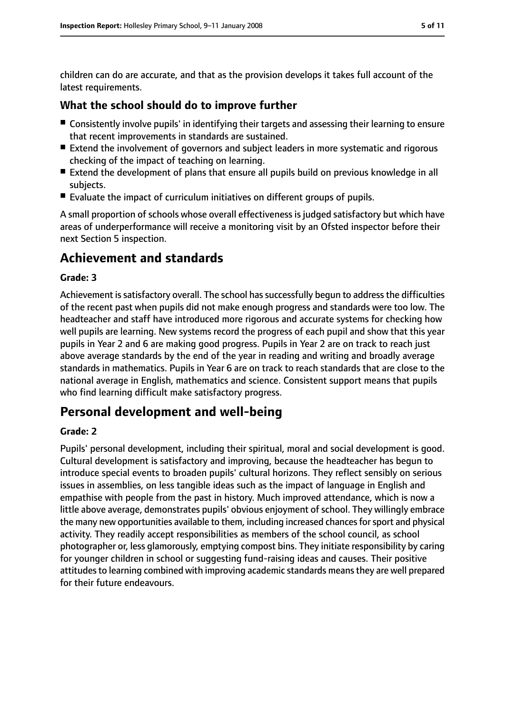children can do are accurate, and that as the provision develops it takes full account of the latest requirements.

#### **What the school should do to improve further**

- Consistently involve pupils' in identifying their targets and assessing their learning to ensure that recent improvements in standards are sustained.
- Extend the involvement of governors and subject leaders in more systematic and rigorous checking of the impact of teaching on learning.
- Extend the development of plans that ensure all pupils build on previous knowledge in all subjects.
- Evaluate the impact of curriculum initiatives on different groups of pupils.

A small proportion of schools whose overall effectiveness is judged satisfactory but which have areas of underperformance will receive a monitoring visit by an Ofsted inspector before their next Section 5 inspection.

### **Achievement and standards**

#### **Grade: 3**

Achievement is satisfactory overall. The school has successfully begun to address the difficulties of the recent past when pupils did not make enough progress and standards were too low. The headteacher and staff have introduced more rigorous and accurate systems for checking how well pupils are learning. New systems record the progress of each pupil and show that this year pupils in Year 2 and 6 are making good progress. Pupils in Year 2 are on track to reach just above average standards by the end of the year in reading and writing and broadly average standards in mathematics. Pupils in Year 6 are on track to reach standards that are close to the national average in English, mathematics and science. Consistent support means that pupils who find learning difficult make satisfactory progress.

### **Personal development and well-being**

#### **Grade: 2**

Pupils' personal development, including their spiritual, moral and social development is good. Cultural development is satisfactory and improving, because the headteacher has begun to introduce special events to broaden pupils' cultural horizons. They reflect sensibly on serious issues in assemblies, on less tangible ideas such as the impact of language in English and empathise with people from the past in history. Much improved attendance, which is now a little above average, demonstrates pupils' obvious enjoyment of school. They willingly embrace the many new opportunities available to them, including increased chances for sport and physical activity. They readily accept responsibilities as members of the school council, as school photographer or, less glamorously, emptying compost bins. They initiate responsibility by caring for younger children in school or suggesting fund-raising ideas and causes. Their positive attitudes to learning combined with improving academic standards means they are well prepared for their future endeavours.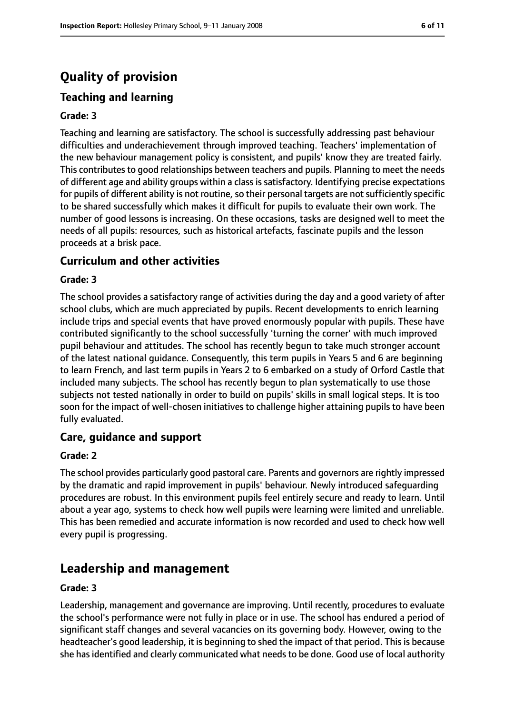### **Quality of provision**

### **Teaching and learning**

#### **Grade: 3**

Teaching and learning are satisfactory. The school is successfully addressing past behaviour difficulties and underachievement through improved teaching. Teachers' implementation of the new behaviour management policy is consistent, and pupils' know they are treated fairly. This contributes to good relationships between teachers and pupils. Planning to meet the needs of different age and ability groups within a class is satisfactory. Identifying precise expectations for pupils of different ability is not routine, so their personal targets are not sufficiently specific to be shared successfully which makes it difficult for pupils to evaluate their own work. The number of good lessons is increasing. On these occasions, tasks are designed well to meet the needs of all pupils: resources, such as historical artefacts, fascinate pupils and the lesson proceeds at a brisk pace.

#### **Curriculum and other activities**

#### **Grade: 3**

The school provides a satisfactory range of activities during the day and a good variety of after school clubs, which are much appreciated by pupils. Recent developments to enrich learning include trips and special events that have proved enormously popular with pupils. These have contributed significantly to the school successfully 'turning the corner' with much improved pupil behaviour and attitudes. The school has recently begun to take much stronger account of the latest national guidance. Consequently, this term pupils in Years 5 and 6 are beginning to learn French, and last term pupils in Years 2 to 6 embarked on a study of Orford Castle that included many subjects. The school has recently begun to plan systematically to use those subjects not tested nationally in order to build on pupils' skills in small logical steps. It is too soon for the impact of well-chosen initiatives to challenge higher attaining pupils to have been fully evaluated.

#### **Care, guidance and support**

#### **Grade: 2**

The school provides particularly good pastoral care. Parents and governors are rightly impressed by the dramatic and rapid improvement in pupils' behaviour. Newly introduced safeguarding procedures are robust. In this environment pupils feel entirely secure and ready to learn. Until about a year ago, systems to check how well pupils were learning were limited and unreliable. This has been remedied and accurate information is now recorded and used to check how well every pupil is progressing.

### **Leadership and management**

#### **Grade: 3**

Leadership, management and governance are improving. Until recently, procedures to evaluate the school's performance were not fully in place or in use. The school has endured a period of significant staff changes and several vacancies on its governing body. However, owing to the headteacher's good leadership, it is beginning to shed the impact of that period. This is because she has identified and clearly communicated what needs to be done. Good use of local authority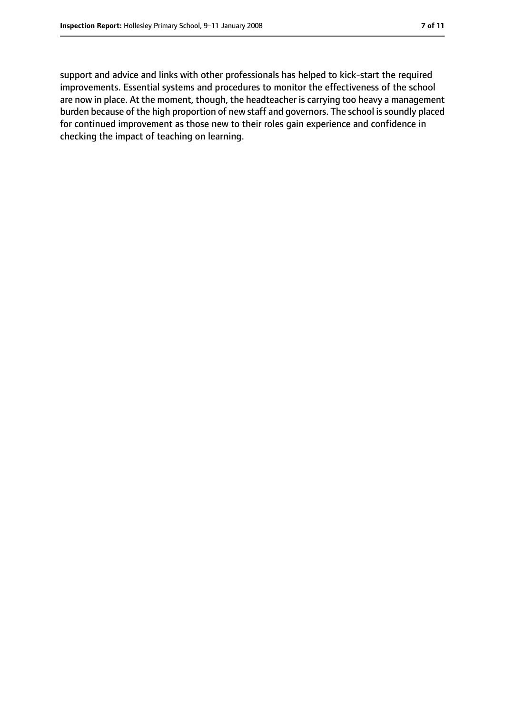support and advice and links with other professionals has helped to kick-start the required improvements. Essential systems and procedures to monitor the effectiveness of the school are now in place. At the moment, though, the headteacher is carrying too heavy a management burden because of the high proportion of new staff and governors. The school is soundly placed for continued improvement as those new to their roles gain experience and confidence in checking the impact of teaching on learning.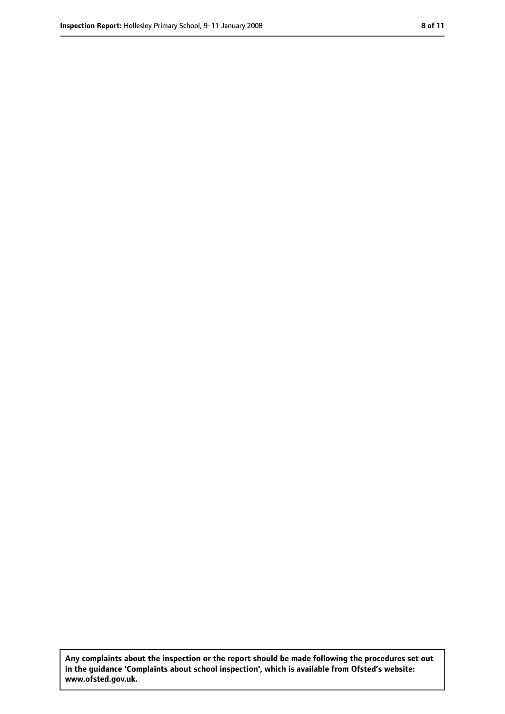**Any complaints about the inspection or the report should be made following the procedures set out in the guidance 'Complaints about school inspection', which is available from Ofsted's website: www.ofsted.gov.uk.**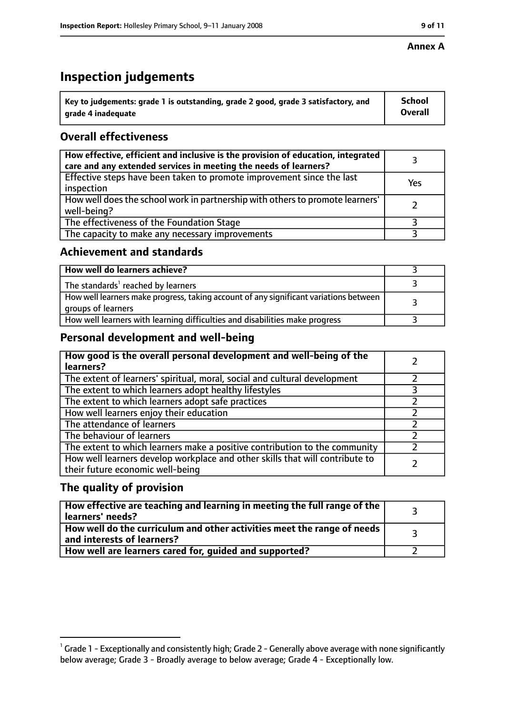#### **Annex A**

### **Inspection judgements**

| $\degree$ Key to judgements: grade 1 is outstanding, grade 2 good, grade 3 satisfactory, and | School         |
|----------------------------------------------------------------------------------------------|----------------|
| arade 4 inadequate                                                                           | <b>Overall</b> |

### **Overall effectiveness**

| How effective, efficient and inclusive is the provision of education, integrated<br>care and any extended services in meeting the needs of learners? |     |
|------------------------------------------------------------------------------------------------------------------------------------------------------|-----|
| Effective steps have been taken to promote improvement since the last<br>inspection                                                                  | Yes |
| How well does the school work in partnership with others to promote learners'<br>well-being?                                                         |     |
| The effectiveness of the Foundation Stage                                                                                                            |     |
| The capacity to make any necessary improvements                                                                                                      |     |

### **Achievement and standards**

| How well do learners achieve?                                                                               |  |
|-------------------------------------------------------------------------------------------------------------|--|
| The standards <sup>1</sup> reached by learners                                                              |  |
| How well learners make progress, taking account of any significant variations between<br>groups of learners |  |
| How well learners with learning difficulties and disabilities make progress                                 |  |

### **Personal development and well-being**

| How good is the overall personal development and well-being of the<br>learners?                                  |  |
|------------------------------------------------------------------------------------------------------------------|--|
| The extent of learners' spiritual, moral, social and cultural development                                        |  |
| The extent to which learners adopt healthy lifestyles                                                            |  |
| The extent to which learners adopt safe practices                                                                |  |
| How well learners enjoy their education                                                                          |  |
| The attendance of learners                                                                                       |  |
| The behaviour of learners                                                                                        |  |
| The extent to which learners make a positive contribution to the community                                       |  |
| How well learners develop workplace and other skills that will contribute to<br>their future economic well-being |  |

### **The quality of provision**

| How effective are teaching and learning in meeting the full range of the<br>learners' needs?          |  |
|-------------------------------------------------------------------------------------------------------|--|
| How well do the curriculum and other activities meet the range of needs<br>and interests of learners? |  |
| How well are learners cared for, guided and supported?                                                |  |

 $^1$  Grade 1 - Exceptionally and consistently high; Grade 2 - Generally above average with none significantly below average; Grade 3 - Broadly average to below average; Grade 4 - Exceptionally low.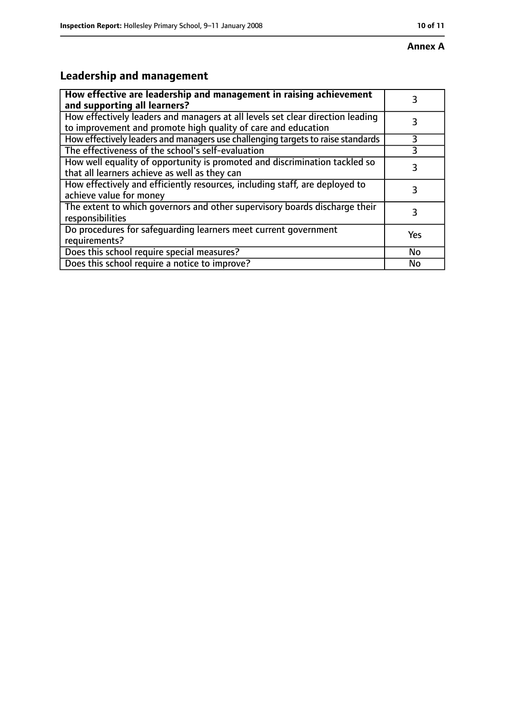## **Leadership and management**

| How effective are leadership and management in raising achievement<br>and supporting all learners?                                              | 3         |
|-------------------------------------------------------------------------------------------------------------------------------------------------|-----------|
| How effectively leaders and managers at all levels set clear direction leading<br>to improvement and promote high quality of care and education |           |
| How effectively leaders and managers use challenging targets to raise standards                                                                 | 3         |
| The effectiveness of the school's self-evaluation                                                                                               |           |
| How well equality of opportunity is promoted and discrimination tackled so<br>that all learners achieve as well as they can                     | 3         |
| How effectively and efficiently resources, including staff, are deployed to<br>achieve value for money                                          | 3         |
| The extent to which governors and other supervisory boards discharge their<br>responsibilities                                                  | 3         |
| Do procedures for safequarding learners meet current government<br>requirements?                                                                | Yes       |
| Does this school require special measures?                                                                                                      | <b>No</b> |
| Does this school require a notice to improve?                                                                                                   | No        |